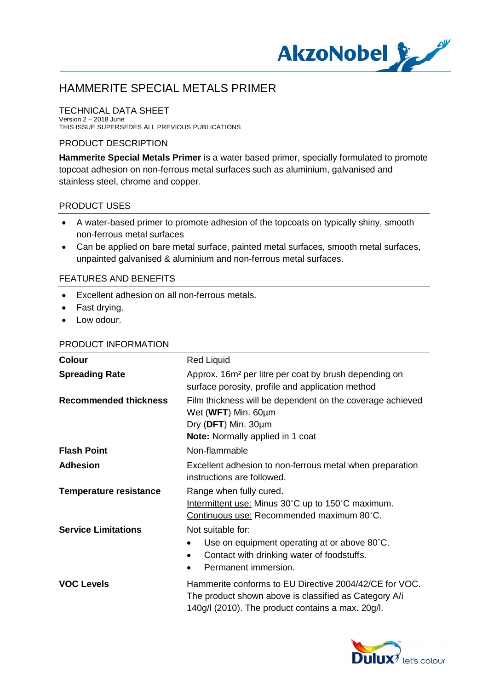

#### TECHNICAL DATA SHEET Version 2 – 2018 June

THIS ISSUE SUPERSEDES ALL PREVIOUS PUBLICATIONS

### PRODUCT DESCRIPTION

**Hammerite Special Metals Primer** is a water based primer, specially formulated to promote topcoat adhesion on non-ferrous metal surfaces such as aluminium, galvanised and stainless steel, chrome and copper.

### PRODUCT USES

- · A water-based primer to promote adhesion of the topcoats on typically shiny, smooth non-ferrous metal surfaces
- · Can be applied on bare metal surface, painted metal surfaces, smooth metal surfaces, unpainted galvanised & aluminium and non-ferrous metal surfaces.

### FEATURES AND BENEFITS

- · Excellent adhesion on all non-ferrous metals.
- · Fast drying.
- Low odour.

#### PRODUCT INFORMATION

| <b>Colour</b>                 | <b>Red Liquid</b>                                                                                                                                                    |
|-------------------------------|----------------------------------------------------------------------------------------------------------------------------------------------------------------------|
| <b>Spreading Rate</b>         | Approx. 16m <sup>2</sup> per litre per coat by brush depending on<br>surface porosity, profile and application method                                                |
| <b>Recommended thickness</b>  | Film thickness will be dependent on the coverage achieved<br>Wet (WFT) Min. 60µm<br>Dry (DFT) Min. 30um<br><b>Note:</b> Normally applied in 1 coat                   |
| <b>Flash Point</b>            | Non-flammable                                                                                                                                                        |
| <b>Adhesion</b>               | Excellent adhesion to non-ferrous metal when preparation<br>instructions are followed.                                                                               |
| <b>Temperature resistance</b> | Range when fully cured.<br>Intermittent use: Minus 30°C up to 150°C maximum.<br>Continuous use: Recommended maximum 80°C.                                            |
| <b>Service Limitations</b>    | Not suitable for:<br>Use on equipment operating at or above 80°C.<br>Contact with drinking water of foodstuffs.<br>$\bullet$<br>Permanent immersion.<br>$\bullet$    |
| <b>VOC Levels</b>             | Hammerite conforms to EU Directive 2004/42/CE for VOC.<br>The product shown above is classified as Category A/i<br>140g/l (2010). The product contains a max. 20g/l. |
|                               |                                                                                                                                                                      |

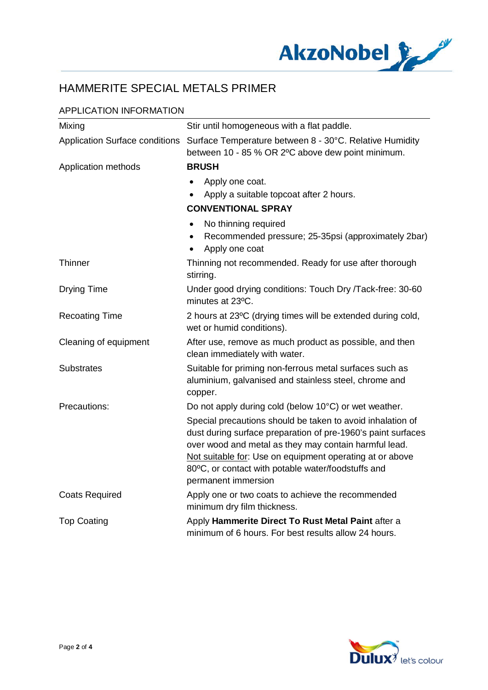

### APPLICATION INFORMATION

| Mixing                                | Stir until homogeneous with a flat paddle.                                                                                                                                                                                                                                                                                   |
|---------------------------------------|------------------------------------------------------------------------------------------------------------------------------------------------------------------------------------------------------------------------------------------------------------------------------------------------------------------------------|
| <b>Application Surface conditions</b> | Surface Temperature between 8 - 30°C. Relative Humidity<br>between 10 - 85 % OR 2°C above dew point minimum.                                                                                                                                                                                                                 |
| Application methods                   | <b>BRUSH</b>                                                                                                                                                                                                                                                                                                                 |
|                                       | Apply one coat.<br>Apply a suitable topcoat after 2 hours.<br><b>CONVENTIONAL SPRAY</b>                                                                                                                                                                                                                                      |
|                                       | No thinning required<br>$\bullet$<br>Recommended pressure; 25-35psi (approximately 2bar)<br>Apply one coat                                                                                                                                                                                                                   |
| <b>Thinner</b>                        | Thinning not recommended. Ready for use after thorough<br>stirring.                                                                                                                                                                                                                                                          |
| <b>Drying Time</b>                    | Under good drying conditions: Touch Dry /Tack-free: 30-60<br>minutes at 23°C.                                                                                                                                                                                                                                                |
| <b>Recoating Time</b>                 | 2 hours at 23°C (drying times will be extended during cold,<br>wet or humid conditions).                                                                                                                                                                                                                                     |
| Cleaning of equipment                 | After use, remove as much product as possible, and then<br>clean immediately with water.                                                                                                                                                                                                                                     |
| <b>Substrates</b>                     | Suitable for priming non-ferrous metal surfaces such as<br>aluminium, galvanised and stainless steel, chrome and<br>copper.                                                                                                                                                                                                  |
| Precautions:                          | Do not apply during cold (below 10°C) or wet weather.                                                                                                                                                                                                                                                                        |
|                                       | Special precautions should be taken to avoid inhalation of<br>dust during surface preparation of pre-1960's paint surfaces<br>over wood and metal as they may contain harmful lead.<br>Not suitable for: Use on equipment operating at or above<br>80°C, or contact with potable water/foodstuffs and<br>permanent immersion |
| <b>Coats Required</b>                 | Apply one or two coats to achieve the recommended<br>minimum dry film thickness.                                                                                                                                                                                                                                             |
| <b>Top Coating</b>                    | Apply Hammerite Direct To Rust Metal Paint after a<br>minimum of 6 hours. For best results allow 24 hours.                                                                                                                                                                                                                   |

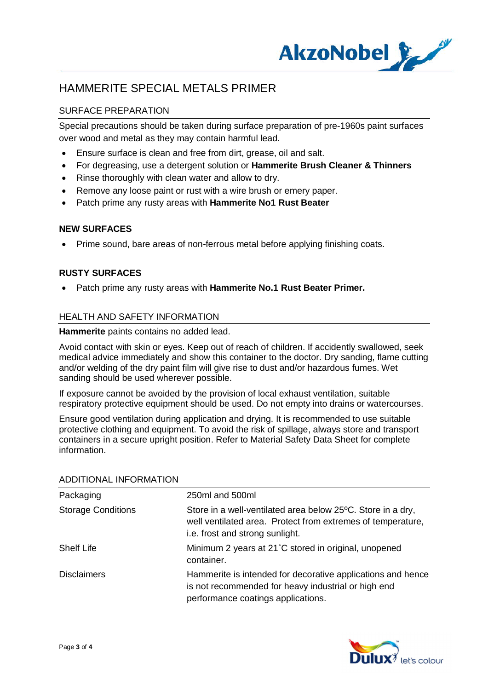

### SURFACE PREPARATION

Special precautions should be taken during surface preparation of pre-1960s paint surfaces over wood and metal as they may contain harmful lead.

- · Ensure surface is clean and free from dirt, grease, oil and salt.
- · For degreasing, use a detergent solution or **Hammerite Brush Cleaner & Thinners**
- · Rinse thoroughly with clean water and allow to dry.
- Remove any loose paint or rust with a wire brush or emery paper.
- · Patch prime any rusty areas with **Hammerite No1 Rust Beater**

### **NEW SURFACES**

· Prime sound, bare areas of non-ferrous metal before applying finishing coats.

### **RUSTY SURFACES**

· Patch prime any rusty areas with **Hammerite No.1 Rust Beater Primer.**

### HEALTH AND SAFETY INFORMATION

**Hammerite** paints contains no added lead.

Avoid contact with skin or eyes. Keep out of reach of children. If accidently swallowed, seek medical advice immediately and show this container to the doctor. Dry sanding, flame cutting and/or welding of the dry paint film will give rise to dust and/or hazardous fumes. Wet sanding should be used wherever possible.

If exposure cannot be avoided by the provision of local exhaust ventilation, suitable respiratory protective equipment should be used. Do not empty into drains or watercourses.

Ensure good ventilation during application and drying. It is recommended to use suitable protective clothing and equipment. To avoid the risk of spillage, always store and transport containers in a secure upright position. Refer to Material Safety Data Sheet for complete information.

| ADDITIONAL INI ONWATION   |                                                                                                                                                               |
|---------------------------|---------------------------------------------------------------------------------------------------------------------------------------------------------------|
| Packaging                 | 250ml and 500ml                                                                                                                                               |
| <b>Storage Conditions</b> | Store in a well-ventilated area below 25°C. Store in a dry,<br>well ventilated area. Protect from extremes of temperature,<br>i.e. frost and strong sunlight. |
| <b>Shelf Life</b>         | Minimum 2 years at 21°C stored in original, unopened<br>container.                                                                                            |
| <b>Disclaimers</b>        | Hammerite is intended for decorative applications and hence<br>is not recommended for heavy industrial or high end<br>performance coatings applications.      |
|                           |                                                                                                                                                               |

### ADDITIONAL INFORMATION